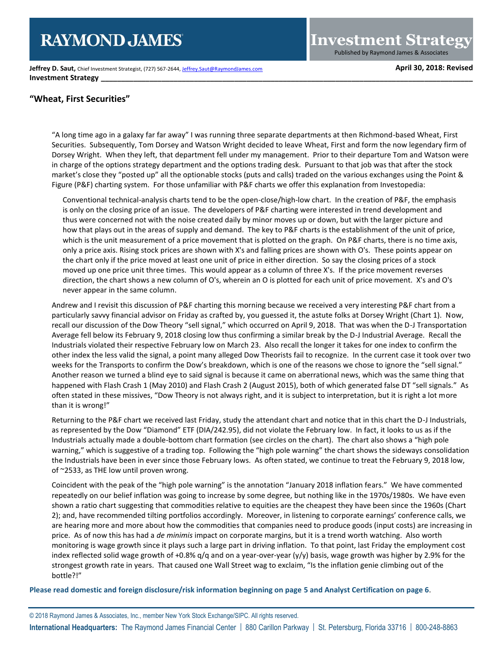**Jeffrey D. Saut,** Chief Investment Strategist, (727) 567-2644[, Jeffrey.Saut@RaymondJames.com](mailto:Jeffrey.Saut@RaymondJames.com) **April 30, 2018: Revised Investment Strategy** 

**Investment Strategy** Published by Raymond James & Associates

# **"Wheat, First Securities"**

"A long time ago in a galaxy far far away" I was running three separate departments at then Richmond-based Wheat, First Securities. Subsequently, Tom Dorsey and Watson Wright decided to leave Wheat, First and form the now legendary firm of Dorsey Wright. When they left, that department fell under my management. Prior to their departure Tom and Watson were in charge of the options strategy department and the options trading desk. Pursuant to that job was that after the stock market's close they "posted up" all the optionable stocks (puts and calls) traded on the various exchanges using the Point & Figure (P&F) charting system. For those unfamiliar with P&F charts we offer this explanation from Investopedia:

Conventional technical-analysis charts tend to be the open-close/high-low chart. In the creation of P&F, the emphasis is only on the closing price of an issue. The developers of P&F charting were interested in trend development and thus were concerned not with the noise created daily by minor moves up or down, but with the larger picture and how that plays out in the areas of supply and demand. The key to P&F charts is the establishment of the unit of price, which is the unit measurement of a price movement that is plotted on the graph. On P&F charts, there is no time axis, only a price axis. Rising stock prices are shown with X's and falling prices are shown with O's. These points appear on the chart only if the price moved at least one unit of price in either direction. So say the closing prices of a stock moved up one price unit three times. This would appear as a column of three X's. If the price movement reverses direction, the chart shows a new column of O's, wherein an O is plotted for each unit of price movement. X's and O's never appear in the same column.

Andrew and I revisit this discussion of P&F charting this morning because we received a very interesting P&F chart from a particularly savvy financial advisor on Friday as crafted by, you guessed it, the astute folks at Dorsey Wright (Chart 1). Now, recall our discussion of the Dow Theory "sell signal," which occurred on April 9, 2018. That was when the D-J Transportation Average fell below its February 9, 2018 closing low thus confirming a similar break by the D-J Industrial Average. Recall the Industrials violated their respective February low on March 23. Also recall the longer it takes for one index to confirm the other index the less valid the signal, a point many alleged Dow Theorists fail to recognize. In the current case it took over two weeks for the Transports to confirm the Dow's breakdown, which is one of the reasons we chose to ignore the "sell signal." Another reason we turned a blind eye to said signal is because it came on aberrational news, which was the same thing that happened with Flash Crash 1 (May 2010) and Flash Crash 2 (August 2015), both of which generated false DT "sell signals." As often stated in these missives, "Dow Theory is not always right, and it is subject to interpretation, but it is right a lot more than it is wrong!"

Returning to the P&F chart we received last Friday, study the attendant chart and notice that in this chart the D-J Industrials, as represented by the Dow "Diamond" ETF (DIA/242.95), did not violate the February low. In fact, it looks to us as if the Industrials actually made a double-bottom chart formation (see circles on the chart). The chart also shows a "high pole warning," which is suggestive of a trading top. Following the "high pole warning" the chart shows the sideways consolidation the Industrials have been in ever since those February lows. As often stated, we continue to treat the February 9, 2018 low, of ~2533, as THE low until proven wrong.

Coincident with the peak of the "high pole warning" is the annotation "January 2018 inflation fears." We have commented repeatedly on our belief inflation was going to increase by some degree, but nothing like in the 1970s/1980s. We have even shown a ratio chart suggesting that commodities relative to equities are the cheapest they have been since the 1960s (Chart 2); and, have recommended tilting portfolios accordingly. Moreover, in listening to corporate earnings' conference calls, we are hearing more and more about how the commodities that companies need to produce goods (input costs) are increasing in price. As of now this has had a *de minimis* impact on corporate margins, but it is a trend worth watching. Also worth monitoring is wage growth since it plays such a large part in driving inflation. To that point, last Friday the employment cost index reflected solid wage growth of +0.8% q/q and on a year-over-year (y/y) basis, wage growth was higher by 2.9% for the strongest growth rate in years. That caused one Wall Street wag to exclaim, "Is the inflation genie climbing out of the bottle?!"

**Please read domestic and foreign disclosure/risk information beginning on page 5 and Analyst Certification on page 6**.

© 2018 Raymond James & Associates, Inc., member New York Stock Exchange/SIPC. All rights reserved. **International Headquarters:** The Raymond James Financial Center | 880 Carillon Parkway | St. Petersburg, Florida 33716 | 800-248-8863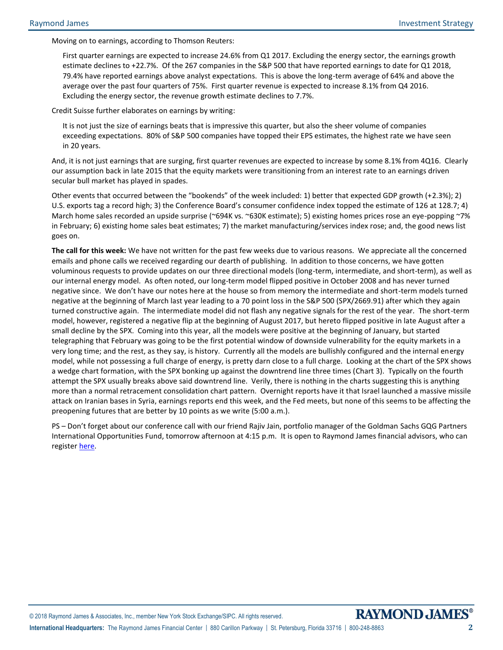Moving on to earnings, according to Thomson Reuters:

First quarter earnings are expected to increase 24.6% from Q1 2017. Excluding the energy sector, the earnings growth estimate declines to +22.7%. Of the 267 companies in the S&P 500 that have reported earnings to date for Q1 2018, 79.4% have reported earnings above analyst expectations. This is above the long-term average of 64% and above the average over the past four quarters of 75%. First quarter revenue is expected to increase 8.1% from Q4 2016. Excluding the energy sector, the revenue growth estimate declines to 7.7%.

Credit Suisse further elaborates on earnings by writing:

It is not just the size of earnings beats that is impressive this quarter, but also the sheer volume of companies exceeding expectations. 80% of S&P 500 companies have topped their EPS estimates, the highest rate we have seen in 20 years.

And, it is not just earnings that are surging, first quarter revenues are expected to increase by some 8.1% from 4Q16. Clearly our assumption back in late 2015 that the equity markets were transitioning from an interest rate to an earnings driven secular bull market has played in spades.

Other events that occurred between the "bookends" of the week included: 1) better that expected GDP growth (+2.3%); 2) U.S. exports tag a record high; 3) the Conference Board's consumer confidence index topped the estimate of 126 at 128.7; 4) March home sales recorded an upside surprise (~694K vs. ~630K estimate); 5) existing homes prices rose an eye-popping ~7% in February; 6) existing home sales beat estimates; 7) the market manufacturing/services index rose; and, the good news list goes on.

**The call for this week:** We have not written for the past few weeks due to various reasons. We appreciate all the concerned emails and phone calls we received regarding our dearth of publishing. In addition to those concerns, we have gotten voluminous requests to provide updates on our three directional models (long-term, intermediate, and short-term), as well as our internal energy model. As often noted, our long-term model flipped positive in October 2008 and has never turned negative since. We don't have our notes here at the house so from memory the intermediate and short-term models turned negative at the beginning of March last year leading to a 70 point loss in the S&P 500 (SPX/2669.91) after which they again turned constructive again. The intermediate model did not flash any negative signals for the rest of the year. The short-term model, however, registered a negative flip at the beginning of August 2017, but hereto flipped positive in late August after a small decline by the SPX. Coming into this year, all the models were positive at the beginning of January, but started telegraphing that February was going to be the first potential window of downside vulnerability for the equity markets in a very long time; and the rest, as they say, is history. Currently all the models are bullishly configured and the internal energy model, while not possessing a full charge of energy, is pretty darn close to a full charge. Looking at the chart of the SPX shows a wedge chart formation, with the SPX bonking up against the downtrend line three times (Chart 3). Typically on the fourth attempt the SPX usually breaks above said downtrend line. Verily, there is nothing in the charts suggesting this is anything more than a normal retracement consolidation chart pattern. Overnight reports have it that Israel launched a massive missile attack on Iranian bases in Syria, earnings reports end this week, and the Fed meets, but none of this seems to be affecting the preopening futures that are better by 10 points as we write (5:00 a.m.).

PS – Don't forget about our conference call with our friend Rajiv Jain, portfolio manager of the Goldman Sachs GQG Partners International Opportunities Fund, tomorrow afternoon at 4:15 p.m. It is open to Raymond James financial advisors, who can registe[r here.](https://register.gotowebinar.com/register/5464200445591924994)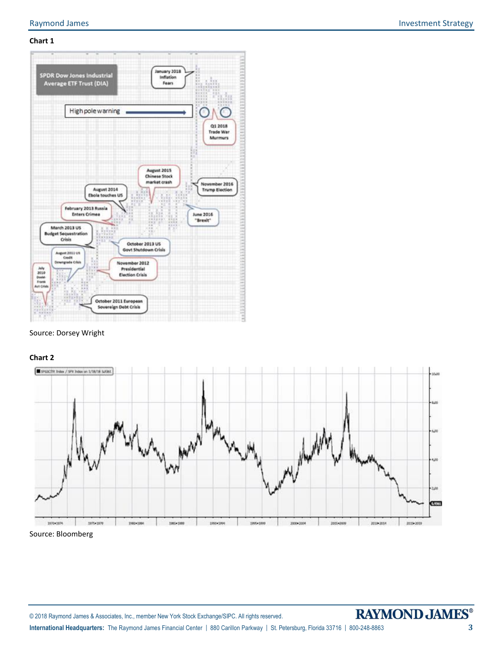# **Chart 1**



# Source: Dorsey Wright

## **Chart 2**



Source: Bloomberg

© 2018 Raymond James & Associates, Inc., member New York Stock Exchange/SIPC. All rights reserved.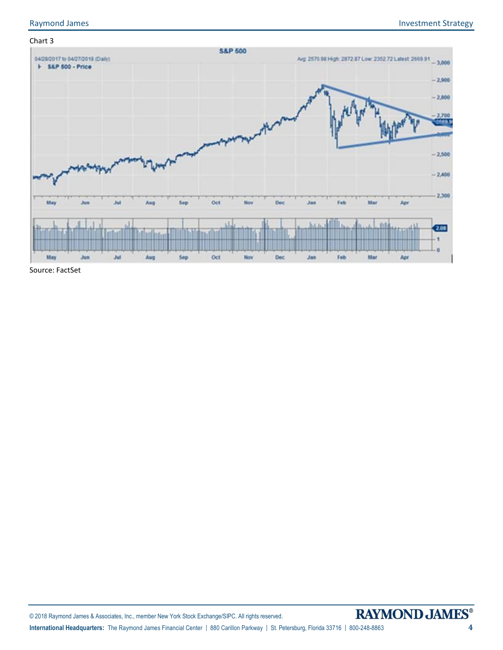

Source: FactSet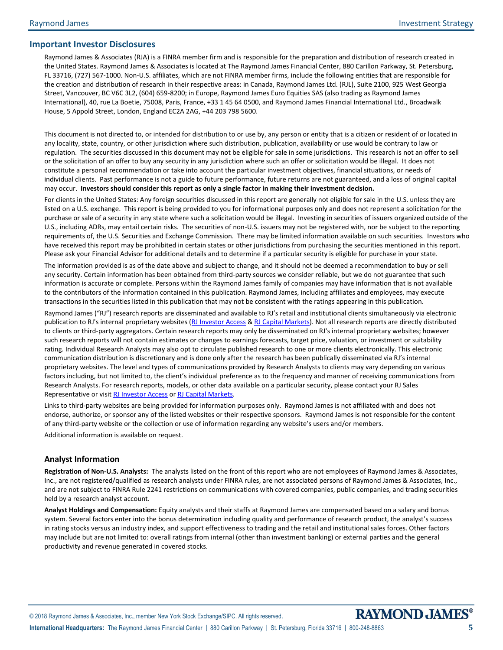## **Important Investor Disclosures**

Raymond James & Associates (RJA) is a FINRA member firm and is responsible for the preparation and distribution of research created in the United States. Raymond James & Associates is located at The Raymond James Financial Center, 880 Carillon Parkway, St. Petersburg, FL 33716, (727) 567-1000. Non-U.S. affiliates, which are not FINRA member firms, include the following entities that are responsible for the creation and distribution of research in their respective areas: in Canada, Raymond James Ltd. (RJL), Suite 2100, 925 West Georgia Street, Vancouver, BC V6C 3L2, (604) 659-8200; in Europe, Raymond James Euro Equities SAS (also trading as Raymond James International), 40, rue La Boetie, 75008, Paris, France, +33 1 45 64 0500, and Raymond James Financial International Ltd., Broadwalk House, 5 Appold Street, London, England EC2A 2AG, +44 203 798 5600.

This document is not directed to, or intended for distribution to or use by, any person or entity that is a citizen or resident of or located in any locality, state, country, or other jurisdiction where such distribution, publication, availability or use would be contrary to law or regulation. The securities discussed in this document may not be eligible for sale in some jurisdictions. This research is not an offer to sell or the solicitation of an offer to buy any security in any jurisdiction where such an offer or solicitation would be illegal. It does not constitute a personal recommendation or take into account the particular investment objectives, financial situations, or needs of individual clients. Past performance is not a guide to future performance, future returns are not guaranteed, and a loss of original capital may occur. **Investors should consider this report as only a single factor in making their investment decision.**

For clients in the United States: Any foreign securities discussed in this report are generally not eligible for sale in the U.S. unless they are listed on a U.S. exchange. This report is being provided to you for informational purposes only and does not represent a solicitation for the purchase or sale of a security in any state where such a solicitation would be illegal. Investing in securities of issuers organized outside of the U.S., including ADRs, may entail certain risks. The securities of non-U.S. issuers may not be registered with, nor be subject to the reporting requirements of, the U.S. Securities and Exchange Commission. There may be limited information available on such securities. Investors who have received this report may be prohibited in certain states or other jurisdictions from purchasing the securities mentioned in this report. Please ask your Financial Advisor for additional details and to determine if a particular security is eligible for purchase in your state.

The information provided is as of the date above and subject to change, and it should not be deemed a recommendation to buy or sell any security. Certain information has been obtained from third-party sources we consider reliable, but we do not guarantee that such information is accurate or complete. Persons within the Raymond James family of companies may have information that is not available to the contributors of the information contained in this publication. Raymond James, including affiliates and employees, may execute transactions in the securities listed in this publication that may not be consistent with the ratings appearing in this publication.

Raymond James ("RJ") research reports are disseminated and available to RJ's retail and institutional clients simultaneously via electronic publication to RJ's internal proprietary websites [\(RJ Investor Access](https://urldefense.proofpoint.com/v2/url?u=https-3A__investoraccess.rjf.com_&d=CwMFAg&c=Od00qP2XTg0tXf_H69-T2w&r=rNefLiWFkSilhqVDo70w43i53TsltTjCWk3T7beArK4&m=PC3IXwh9yes797fhP8lxVmKOzaJCoi7yXoDL8EwSFBo&s=y3WQdEai7OJL0j0ejHq1auUdg8kPQfDCBMkmD2HMOkE&e=) [& RJ Capital Markets\)](https://urldefense.proofpoint.com/v2/url?u=https-3A__www.rjcapitalmarkets.com_Logon_Index&d=CwMFAg&c=Od00qP2XTg0tXf_H69-T2w&r=rNefLiWFkSilhqVDo70w43i53TsltTjCWk3T7beArK4&m=PC3IXwh9yes797fhP8lxVmKOzaJCoi7yXoDL8EwSFBo&s=mLGRTdxZ5EwPQ9maeBsF0fvXad1Tt0SL_21LNPN2LVA&e=). Not all research reports are directly distributed to clients or third-party aggregators. Certain research reports may only be disseminated on RJ's internal proprietary websites; however such research reports will not contain estimates or changes to earnings forecasts, target price, valuation, or investment or suitability rating. Individual Research Analysts may also opt to circulate published research to one or more clients electronically. This electronic communication distribution is discretionary and is done only after the research has been publically disseminated via RJ's internal proprietary websites. The level and types of communications provided by Research Analysts to clients may vary depending on various factors including, but not limited to, the client's individual preference as to the frequency and manner of receiving communications from Research Analysts. For research reports, models, or other data available on a particular security, please contact your RJ Sales Representative or visit [RJ Investor Access](https://urldefense.proofpoint.com/v2/url?u=https-3A__investoraccess.rjf.com_&d=CwMFAg&c=Od00qP2XTg0tXf_H69-T2w&r=rNefLiWFkSilhqVDo70w43i53TsltTjCWk3T7beArK4&m=PC3IXwh9yes797fhP8lxVmKOzaJCoi7yXoDL8EwSFBo&s=y3WQdEai7OJL0j0ejHq1auUdg8kPQfDCBMkmD2HMOkE&e=) o[r RJ Capital Markets.](https://urldefense.proofpoint.com/v2/url?u=https-3A__www.rjcapitalmarkets.com_Logon_Index&d=CwMFAg&c=Od00qP2XTg0tXf_H69-T2w&r=rNefLiWFkSilhqVDo70w43i53TsltTjCWk3T7beArK4&m=PC3IXwh9yes797fhP8lxVmKOzaJCoi7yXoDL8EwSFBo&s=mLGRTdxZ5EwPQ9maeBsF0fvXad1Tt0SL_21LNPN2LVA&e=)

Links to third-party websites are being provided for information purposes only. Raymond James is not affiliated with and does not endorse, authorize, or sponsor any of the listed websites or their respective sponsors. Raymond James is not responsible for the content of any third-party website or the collection or use of information regarding any website's users and/or members.

Additional information is available on request.

# **Analyst Information**

**Registration of Non-U.S. Analysts:** The analysts listed on the front of this report who are not employees of Raymond James & Associates, Inc., are not registered/qualified as research analysts under FINRA rules, are not associated persons of Raymond James & Associates, Inc., and are not subject to FINRA Rule 2241 restrictions on communications with covered companies, public companies, and trading securities held by a research analyst account.

**Analyst Holdings and Compensation:** Equity analysts and their staffs at Raymond James are compensated based on a salary and bonus system. Several factors enter into the bonus determination including quality and performance of research product, the analyst's success in rating stocks versus an industry index, and support effectiveness to trading and the retail and institutional sales forces. Other factors may include but are not limited to: overall ratings from internal (other than investment banking) or external parties and the general productivity and revenue generated in covered stocks.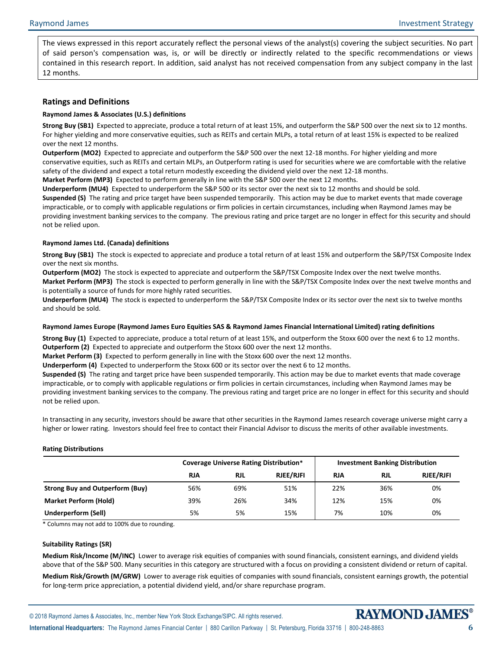The views expressed in this report accurately reflect the personal views of the analyst(s) covering the subject securities. No part of said person's compensation was, is, or will be directly or indirectly related to the specific recommendations or views contained in this research report. In addition, said analyst has not received compensation from any subject company in the last 12 months.

# **Ratings and Definitions**

## **Raymond James & Associates (U.S.) definitions**

**Strong Buy (SB1)** Expected to appreciate, produce a total return of at least 15%, and outperform the S&P 500 over the next six to 12 months. For higher yielding and more conservative equities, such as REITs and certain MLPs, a total return of at least 15% is expected to be realized over the next 12 months.

**Outperform (MO2)** Expected to appreciate and outperform the S&P 500 over the next 12-18 months. For higher yielding and more conservative equities, such as REITs and certain MLPs, an Outperform rating is used for securities where we are comfortable with the relative safety of the dividend and expect a total return modestly exceeding the dividend yield over the next 12-18 months.

**Market Perform (MP3)** Expected to perform generally in line with the S&P 500 over the next 12 months.

**Underperform (MU4)** Expected to underperform the S&P 500 or its sector over the next six to 12 months and should be sold. **Suspended (S)** The rating and price target have been suspended temporarily. This action may be due to market events that made coverage impracticable, or to comply with applicable regulations or firm policies in certain circumstances, including when Raymond James may be providing investment banking services to the company. The previous rating and price target are no longer in effect for this security and should not be relied upon.

## **Raymond James Ltd. (Canada) definitions**

**Strong Buy (SB1)** The stock is expected to appreciate and produce a total return of at least 15% and outperform the S&P/TSX Composite Index over the next six months.

**Outperform (MO2)** The stock is expected to appreciate and outperform the S&P/TSX Composite Index over the next twelve months.

**Market Perform (MP3)** The stock is expected to perform generally in line with the S&P/TSX Composite Index over the next twelve months and is potentially a source of funds for more highly rated securities.

**Underperform (MU4)** The stock is expected to underperform the S&P/TSX Composite Index or its sector over the next six to twelve months and should be sold.

## **Raymond James Europe (Raymond James Euro Equities SAS & Raymond James Financial International Limited) rating definitions**

**Strong Buy (1)** Expected to appreciate, produce a total return of at least 15%, and outperform the Stoxx 600 over the next 6 to 12 months. **Outperform (2)** Expected to appreciate and outperform the Stoxx 600 over the next 12 months.

**Market Perform (3)** Expected to perform generally in line with the Stoxx 600 over the next 12 months.

**Underperform (4)** Expected to underperform the Stoxx 600 or its sector over the next 6 to 12 months.

**Suspended (S)** The rating and target price have been suspended temporarily. This action may be due to market events that made coverage impracticable, or to comply with applicable regulations or firm policies in certain circumstances, including when Raymond James may be providing investment banking services to the company. The previous rating and target price are no longer in effect for this security and should not be relied upon.

In transacting in any security, investors should be aware that other securities in the Raymond James research coverage universe might carry a higher or lower rating. Investors should feel free to contact their Financial Advisor to discuss the merits of other available investments.

## **Rating Distributions**

|                                        |            | <b>Coverage Universe Rating Distribution*</b> |                  | <b>Investment Banking Distribution</b> |            |                  |  |  |  |
|----------------------------------------|------------|-----------------------------------------------|------------------|----------------------------------------|------------|------------------|--|--|--|
|                                        | <b>RJA</b> | <b>RJL</b>                                    | <b>RJEE/RJFI</b> | <b>RJA</b>                             | <b>RJL</b> | <b>RJEE/RJFI</b> |  |  |  |
| <b>Strong Buy and Outperform (Buy)</b> | 56%        | 69%                                           | 51%              | 22%                                    | 36%        | 0%               |  |  |  |
| <b>Market Perform (Hold)</b>           | 39%        | 26%                                           | 34%              | 12%                                    | 15%        | 0%               |  |  |  |
| Underperform (Sell)                    | 5%         | 5%                                            | 15%              | 7%                                     | 10%        | 0%               |  |  |  |

\* Columns may not add to 100% due to rounding.

#### **Suitability Ratings (SR)**

**Medium Risk/Income (M/INC)** Lower to average risk equities of companies with sound financials, consistent earnings, and dividend yields above that of the S&P 500. Many securities in this category are structured with a focus on providing a consistent dividend or return of capital.

**Medium Risk/Growth (M/GRW)** Lower to average risk equities of companies with sound financials, consistent earnings growth, the potential for long-term price appreciation, a potential dividend yield, and/or share repurchase program.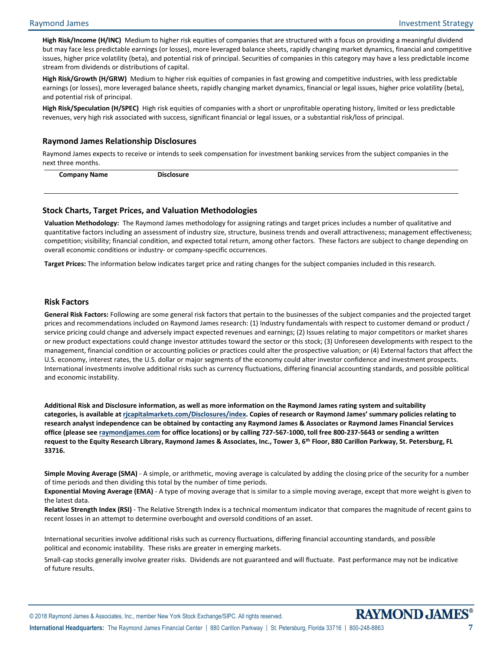**High Risk/Income (H/INC)** Medium to higher risk equities of companies that are structured with a focus on providing a meaningful dividend but may face less predictable earnings (or losses), more leveraged balance sheets, rapidly changing market dynamics, financial and competitive issues, higher price volatility (beta), and potential risk of principal. Securities of companies in this category may have a less predictable income stream from dividends or distributions of capital.

**High Risk/Growth (H/GRW)** Medium to higher risk equities of companies in fast growing and competitive industries, with less predictable earnings (or losses), more leveraged balance sheets, rapidly changing market dynamics, financial or legal issues, higher price volatility (beta), and potential risk of principal.

**High Risk/Speculation (H/SPEC)** High risk equities of companies with a short or unprofitable operating history, limited or less predictable revenues, very high risk associated with success, significant financial or legal issues, or a substantial risk/loss of principal.

#### **Raymond James Relationship Disclosures**

Raymond James expects to receive or intends to seek compensation for investment banking services from the subject companies in the next three months.

**Company Name Disclosure**

# **Stock Charts, Target Prices, and Valuation Methodologies**

**Valuation Methodology:** The Raymond James methodology for assigning ratings and target prices includes a number of qualitative and quantitative factors including an assessment of industry size, structure, business trends and overall attractiveness; management effectiveness; competition; visibility; financial condition, and expected total return, among other factors. These factors are subject to change depending on overall economic conditions or industry- or company-specific occurrences.

**Target Prices:** The information below indicates target price and rating changes for the subject companies included in this research.

## **Risk Factors**

**General Risk Factors:** Following are some general risk factors that pertain to the businesses of the subject companies and the projected target prices and recommendations included on Raymond James research: (1) Industry fundamentals with respect to customer demand or product / service pricing could change and adversely impact expected revenues and earnings; (2) Issues relating to major competitors or market shares or new product expectations could change investor attitudes toward the sector or this stock; (3) Unforeseen developments with respect to the management, financial condition or accounting policies or practices could alter the prospective valuation; or (4) External factors that affect the U.S. economy, interest rates, the U.S. dollar or major segments of the economy could alter investor confidence and investment prospects. International investments involve additional risks such as currency fluctuations, differing financial accounting standards, and possible political and economic instability.

**Additional Risk and Disclosure information, as well as more information on the Raymond James rating system and suitability categories, is available at [rjcapitalmarkets.com/Disclosures/index](http://www.rjcapitalmarkets.com/Disclosures/index). Copies of research or Raymond James' summary policies relating to research analyst independence can be obtained by contacting any Raymond James & Associates or Raymond James Financial Services office (please se[e raymondjames.com](http://www.raymondjames.com/) for office locations) or by calling 727-567-1000, toll free 800-237-5643 or sending a written request to the Equity Research Library, Raymond James & Associates, Inc., Tower 3, 6th Floor, 880 Carillon Parkway, St. Petersburg, FL 33716.**

**Simple Moving Average (SMA)** - A simple, or arithmetic, moving average is calculated by adding the closing price of the security for a number of time periods and then dividing this total by the number of time periods.

**Exponential Moving Average (EMA)** - A type of moving average that is similar to a simple moving average, except that more weight is given to the latest data.

**Relative Strength Index (RSI)** - The Relative Strength Index is a technical momentum indicator that compares the magnitude of recent gains to recent losses in an attempt to determine overbought and oversold conditions of an asset.

International securities involve additional risks such as currency fluctuations, differing financial accounting standards, and possible political and economic instability. These risks are greater in emerging markets.

Small-cap stocks generally involve greater risks. Dividends are not guaranteed and will fluctuate. Past performance may not be indicative of future results.